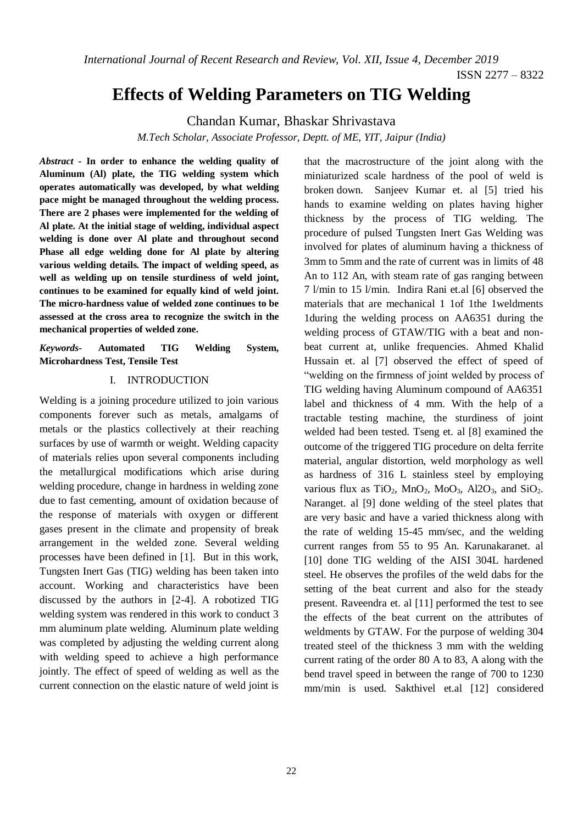*International Journal of Recent Research and Review, Vol. XII, Issue 4, December 2019*

# **Effects of Welding Parameters on TIG Welding**

Chandan Kumar, Bhaskar Shrivastava

*M.Tech Scholar, Associate Professor, Deptt. of ME, YIT, Jaipur (India)*

*Abstract* **- In order to enhance the welding quality of Aluminum (Al) plate, the TIG welding system which operates automatically was developed, by what welding pace might be managed throughout the welding process. There are 2 phases were implemented for the welding of Al plate. At the initial stage of welding, individual aspect welding is done over Al plate and throughout second Phase all edge welding done for Al plate by altering various welding details. The impact of welding speed, as well as welding up on tensile sturdiness of weld joint, continues to be examined for equally kind of weld joint. The micro-hardness value of welded zone continues to be assessed at the cross area to recognize the switch in the mechanical properties of welded zone.**

*Keywords-* **Automated TIG Welding System, Microhardness Test, Tensile Test**

## I. INTRODUCTION

Welding is a joining procedure utilized to join various components forever such as metals, amalgams of metals or the plastics collectively at their reaching surfaces by use of warmth or weight. Welding capacity of materials relies upon several components including the metallurgical modifications which arise during welding procedure, change in hardness in welding zone due to fast cementing, amount of oxidation because of the response of materials with oxygen or different gases present in the climate and propensity of break arrangement in the welded zone. Several welding processes have been defined in [1]. But in this work, Tungsten Inert Gas (TIG) welding has been taken into account. Working and characteristics have been discussed by the authors in [2-4]. A robotized TIG welding system was rendered in this work to conduct 3 mm aluminum plate welding. Aluminum plate welding was completed by adjusting the welding current along with welding speed to achieve a high performance jointly. The effect of speed of welding as well as the current connection on the elastic nature of weld joint is that the macrostructure of the joint along with the miniaturized scale hardness of the pool of weld is broken down. Sanjeev Kumar et. al [5] tried his hands to examine welding on plates having higher thickness by the process of TIG welding. The procedure of pulsed Tungsten Inert Gas Welding was involved for plates of aluminum having a thickness of 3mm to 5mm and the rate of current was in limits of 48 An to 112 An, with steam rate of gas ranging between 7 l/min to 15 l/min. Indira Rani et.al [6] observed the materials that are mechanical 1 1of 1the 1weldments 1during the welding process on AA6351 during the welding process of GTAW/TIG with a beat and nonbeat current at, unlike frequencies. Ahmed Khalid Hussain et. al [7] observed the effect of speed of "welding on the firmness of joint welded by process of TIG welding having Aluminum compound of AA6351 label and thickness of 4 mm. With the help of a tractable testing machine, the sturdiness of joint welded had been tested. Tseng et. al [8] examined the outcome of the triggered TIG procedure on delta ferrite material, angular distortion, weld morphology as well as hardness of 316 L stainless steel by employing various flux as  $TiO<sub>2</sub>$ ,  $MnO<sub>2</sub>$ ,  $MoO<sub>3</sub>$ ,  $Al2O<sub>3</sub>$ , and  $SiO<sub>2</sub>$ . Naranget. al [9] done welding of the steel plates that are very basic and have a varied thickness along with the rate of welding 15-45 mm/sec, and the welding current ranges from 55 to 95 An. Karunakaranet. al [10] done TIG welding of the AISI 304L hardened steel. He observes the profiles of the weld dabs for the setting of the beat current and also for the steady present. Raveendra et. al [11] performed the test to see the effects of the beat current on the attributes of weldments by GTAW. For the purpose of welding 304 treated steel of the thickness 3 mm with the welding current rating of the order 80 A to 83, A along with the bend travel speed in between the range of 700 to 1230 mm/min is used. Sakthivel et.al [12] considered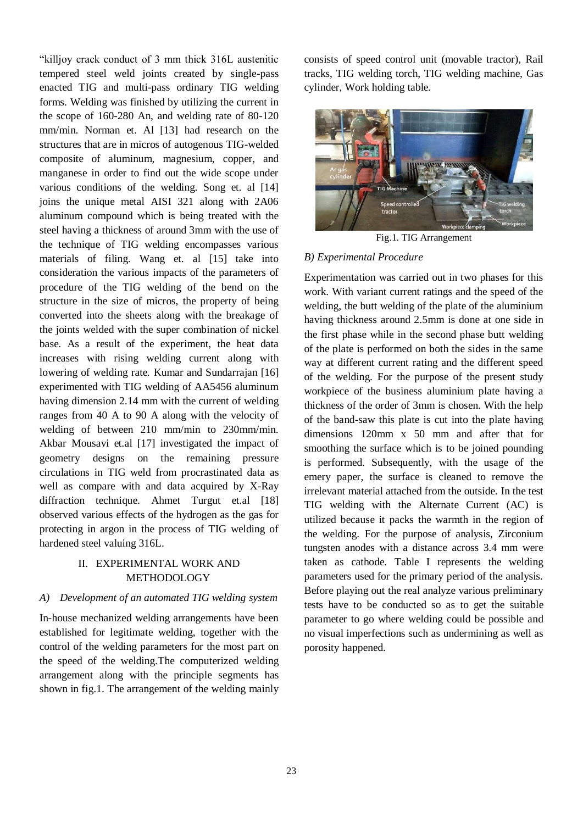"killjoy crack conduct of 3 mm thick 316L austenitic tempered steel weld joints created by single-pass enacted TIG and multi-pass ordinary TIG welding forms. Welding was finished by utilizing the current in the scope of 160-280 An, and welding rate of 80-120 mm/min. Norman et. Al [13] had research on the structures that are in micros of autogenous TIG-welded composite of aluminum, magnesium, copper, and manganese in order to find out the wide scope under various conditions of the welding. Song et. al [14] joins the unique metal AISI 321 along with 2A06 aluminum compound which is being treated with the steel having a thickness of around 3mm with the use of the technique of TIG welding encompasses various materials of filing. Wang et. al [15] take into consideration the various impacts of the parameters of procedure of the TIG welding of the bend on the structure in the size of micros, the property of being converted into the sheets along with the breakage of the joints welded with the super combination of nickel base. As a result of the experiment, the heat data increases with rising welding current along with lowering of welding rate. Kumar and Sundarrajan [16] experimented with TIG welding of AA5456 aluminum having dimension 2.14 mm with the current of welding ranges from 40 A to 90 A along with the velocity of welding of between 210 mm/min to 230mm/min. Akbar Mousavi et.al [17] investigated the impact of geometry designs on the remaining pressure circulations in TIG weld from procrastinated data as well as compare with and data acquired by X-Ray diffraction technique. Ahmet Turgut et.al [18] observed various effects of the hydrogen as the gas for protecting in argon in the process of TIG welding of hardened steel valuing 316L.

## II. EXPERIMENTAL WORK AND METHODOLOGY

## *A) Development of an automated TIG welding system*

In-house mechanized welding arrangements have been established for legitimate welding, together with the control of the welding parameters for the most part on the speed of the welding.The computerized welding arrangement along with the principle segments has shown in fig.1. The arrangement of the welding mainly

consists of speed control unit (movable tractor), Rail tracks, TIG welding torch, TIG welding machine, Gas cylinder, Work holding table.



Fig.1. TIG Arrangement

## *B) Experimental Procedure*

Experimentation was carried out in two phases for this work. With variant current ratings and the speed of the welding, the butt welding of the plate of the aluminium having thickness around 2.5mm is done at one side in the first phase while in the second phase butt welding of the plate is performed on both the sides in the same way at different current rating and the different speed of the welding. For the purpose of the present study workpiece of the business aluminium plate having a thickness of the order of 3mm is chosen. With the help of the band-saw this plate is cut into the plate having dimensions 120mm x 50 mm and after that for smoothing the surface which is to be joined pounding is performed. Subsequently, with the usage of the emery paper, the surface is cleaned to remove the irrelevant material attached from the outside. In the test TIG welding with the Alternate Current (AC) is utilized because it packs the warmth in the region of the welding. For the purpose of analysis, Zirconium tungsten anodes with a distance across 3.4 mm were taken as cathode. Table I represents the welding parameters used for the primary period of the analysis. Before playing out the real analyze various preliminary tests have to be conducted so as to get the suitable parameter to go where welding could be possible and no visual imperfections such as undermining as well as porosity happened.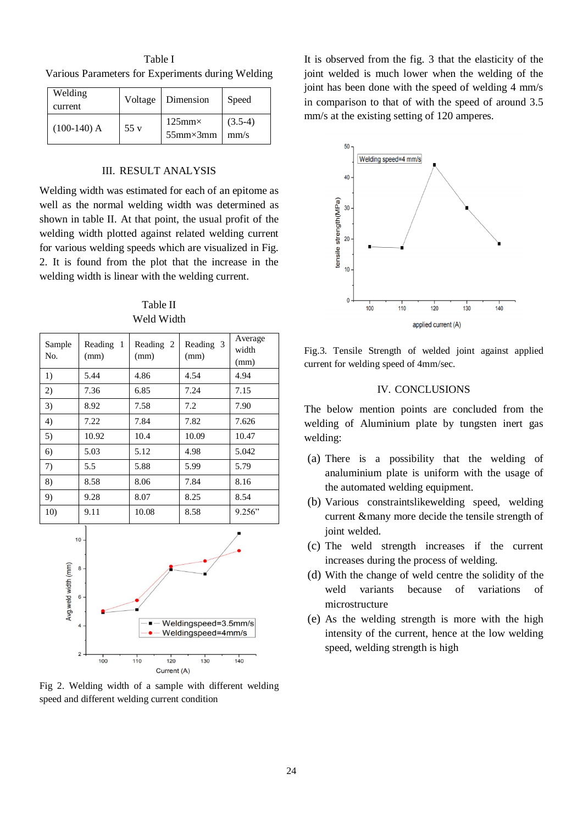Table I Various Parameters for Experiments during Welding

| Welding<br>current |     | Voltage   Dimension                            | Speed             |
|--------------------|-----|------------------------------------------------|-------------------|
| $(100-140)$ A      | 55v | $125 \text{mm} \times$<br>$55$ mm $\times$ 3mm | $(3.5-4)$<br>mm/s |

### III. RESULT ANALYSIS

Welding width was estimated for each of an epitome as well as the normal welding width was determined as shown in table II. At that point, the usual profit of the welding width plotted against related welding current for various welding speeds which are visualized in Fig. 2. It is found from the plot that the increase in the welding width is linear with the welding current.

Table II Weld Width

| Sample<br>No. | Reading 1<br>(mm) | Reading 2<br>(mm) | Reading 3<br>(mm) | Average<br>width<br>(mm) |
|---------------|-------------------|-------------------|-------------------|--------------------------|
| 1)            | 5.44              | 4.86              | 4.54              | 4.94                     |
| 2)            | 7.36              | 6.85              | 7.24              | 7.15                     |
| 3)            | 8.92              | 7.58              | 7.2               | 7.90                     |
| 4)            | 7.22              | 7.84              | 7.82              | 7.626                    |
| 5)            | 10.92             | 10.4              | 10.09             | 10.47                    |
| 6)            | 5.03              | 5.12              | 4.98              | 5.042                    |
| 7)            | 5.5               | 5.88              | 5.99              | 5.79                     |
| 8)            | 8.58              | 8.06              | 7.84              | 8.16                     |
| 9)            | 9.28              | 8.07              | 8.25              | 8.54                     |
| 10)           | 9.11              | 10.08             | 8.58              | 9.256"                   |



Fig 2. Welding width of a sample with different welding speed and different welding current condition

It is observed from the fig. 3 that the elasticity of the joint welded is much lower when the welding of the joint has been done with the speed of welding 4 mm/s in comparison to that of with the speed of around 3.5 mm/s at the existing setting of 120 amperes.



Fig.3. Tensile Strength of welded joint against applied current for welding speed of 4mm/sec.

#### IV. CONCLUSIONS

The below mention points are concluded from the welding of Aluminium plate by tungsten inert gas welding:

- (a) There is a possibility that the welding of analuminium plate is uniform with the usage of the automated welding equipment.
- (b) Various constraintslikewelding speed, welding current &many more decide the tensile strength of joint welded.
- (c) The weld strength increases if the current increases during the process of welding.
- (d) With the change of weld centre the solidity of the weld variants because of variations of microstructure
- (e) As the welding strength is more with the high intensity of the current, hence at the low welding speed, welding strength is high